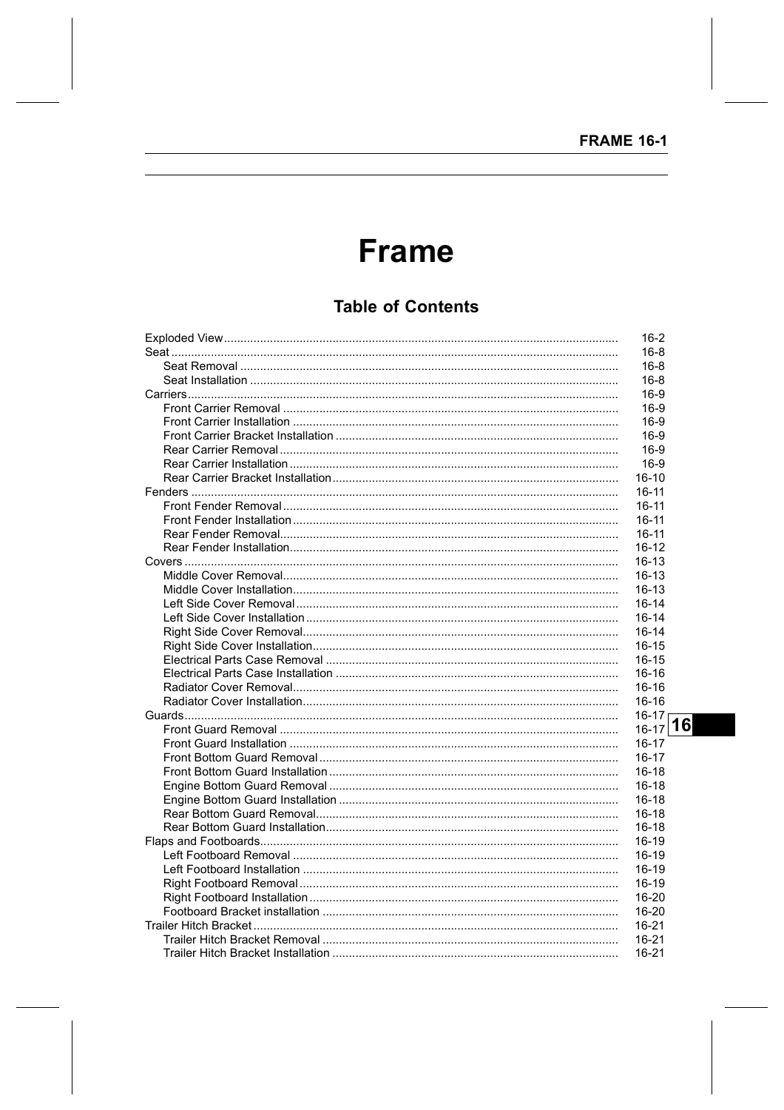# **Frame**

# **Table of Contents**

| $16 - 8$<br>$16 - 8$<br>$16 - 8$<br>$16-9$<br>$16-9$<br>$16-9$<br>$16-9$<br>$16-9$<br>$16-9$<br>$16 - 10$<br>$16 - 11$<br>$16 - 11$<br>$16 - 11$<br>$16 - 11$<br>$16 - 12$<br>$16 - 13$<br>$16 - 13$<br>$16 - 13$<br>$16 - 14$<br>$16 - 14$<br>$16 - 14$<br>$16 - 15$<br>$16 - 15$<br>$16 - 16$<br>$16 - 16$<br>$16 - 16$<br>$16 - 171$<br>$16-17$ 16<br>$16 - 17$<br>$16 - 17$ |
|---------------------------------------------------------------------------------------------------------------------------------------------------------------------------------------------------------------------------------------------------------------------------------------------------------------------------------------------------------------------------------|
|                                                                                                                                                                                                                                                                                                                                                                                 |
|                                                                                                                                                                                                                                                                                                                                                                                 |
|                                                                                                                                                                                                                                                                                                                                                                                 |
|                                                                                                                                                                                                                                                                                                                                                                                 |
|                                                                                                                                                                                                                                                                                                                                                                                 |
|                                                                                                                                                                                                                                                                                                                                                                                 |
|                                                                                                                                                                                                                                                                                                                                                                                 |
|                                                                                                                                                                                                                                                                                                                                                                                 |
|                                                                                                                                                                                                                                                                                                                                                                                 |
|                                                                                                                                                                                                                                                                                                                                                                                 |
|                                                                                                                                                                                                                                                                                                                                                                                 |
|                                                                                                                                                                                                                                                                                                                                                                                 |
|                                                                                                                                                                                                                                                                                                                                                                                 |
|                                                                                                                                                                                                                                                                                                                                                                                 |
|                                                                                                                                                                                                                                                                                                                                                                                 |
|                                                                                                                                                                                                                                                                                                                                                                                 |
|                                                                                                                                                                                                                                                                                                                                                                                 |
|                                                                                                                                                                                                                                                                                                                                                                                 |
|                                                                                                                                                                                                                                                                                                                                                                                 |
|                                                                                                                                                                                                                                                                                                                                                                                 |
|                                                                                                                                                                                                                                                                                                                                                                                 |
|                                                                                                                                                                                                                                                                                                                                                                                 |
|                                                                                                                                                                                                                                                                                                                                                                                 |
|                                                                                                                                                                                                                                                                                                                                                                                 |
|                                                                                                                                                                                                                                                                                                                                                                                 |
|                                                                                                                                                                                                                                                                                                                                                                                 |
|                                                                                                                                                                                                                                                                                                                                                                                 |
|                                                                                                                                                                                                                                                                                                                                                                                 |
|                                                                                                                                                                                                                                                                                                                                                                                 |
|                                                                                                                                                                                                                                                                                                                                                                                 |
| $16 - 18$                                                                                                                                                                                                                                                                                                                                                                       |
| $16 - 18$                                                                                                                                                                                                                                                                                                                                                                       |
| $16 - 18$                                                                                                                                                                                                                                                                                                                                                                       |
| $16 - 18$                                                                                                                                                                                                                                                                                                                                                                       |
| $16 - 18$                                                                                                                                                                                                                                                                                                                                                                       |
| $16 - 19$                                                                                                                                                                                                                                                                                                                                                                       |
| $16-19$                                                                                                                                                                                                                                                                                                                                                                         |
| $16-19$                                                                                                                                                                                                                                                                                                                                                                         |
| $16-19$                                                                                                                                                                                                                                                                                                                                                                         |
| 16-20                                                                                                                                                                                                                                                                                                                                                                           |
| $16 - 20$                                                                                                                                                                                                                                                                                                                                                                       |
| $16 - 21$                                                                                                                                                                                                                                                                                                                                                                       |
| $16 - 21$                                                                                                                                                                                                                                                                                                                                                                       |
| $16 - 21$                                                                                                                                                                                                                                                                                                                                                                       |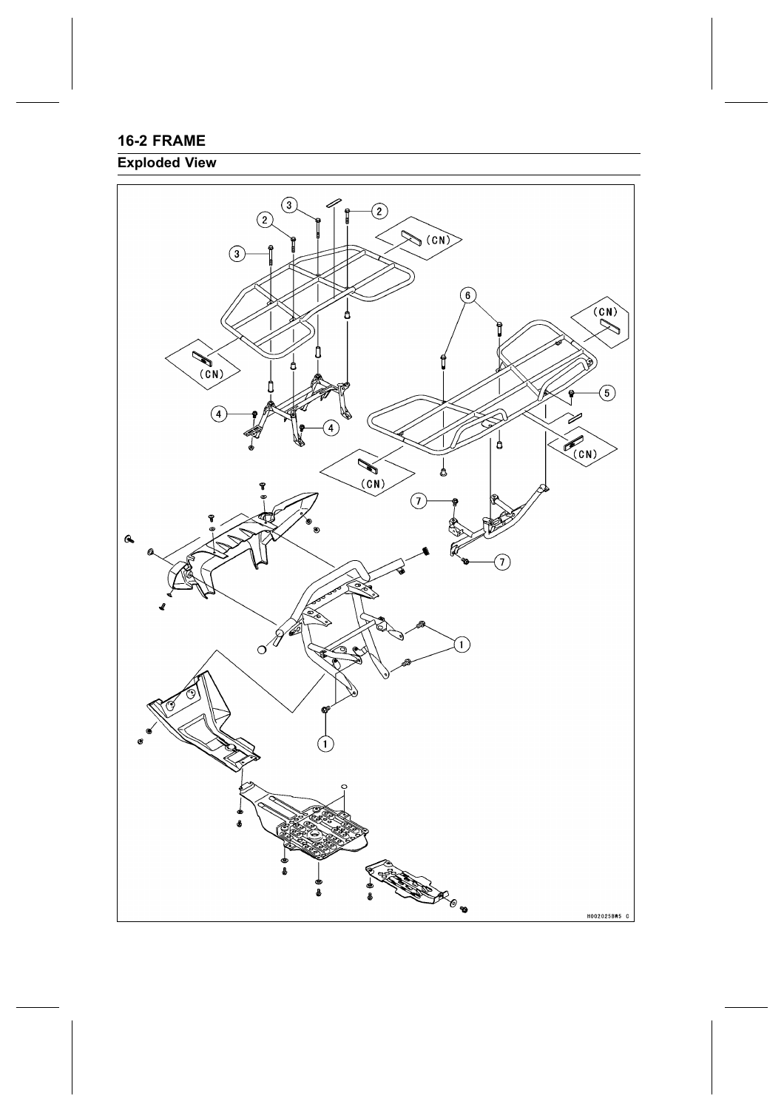## **16-2 FRAME**

# **Exploded View**

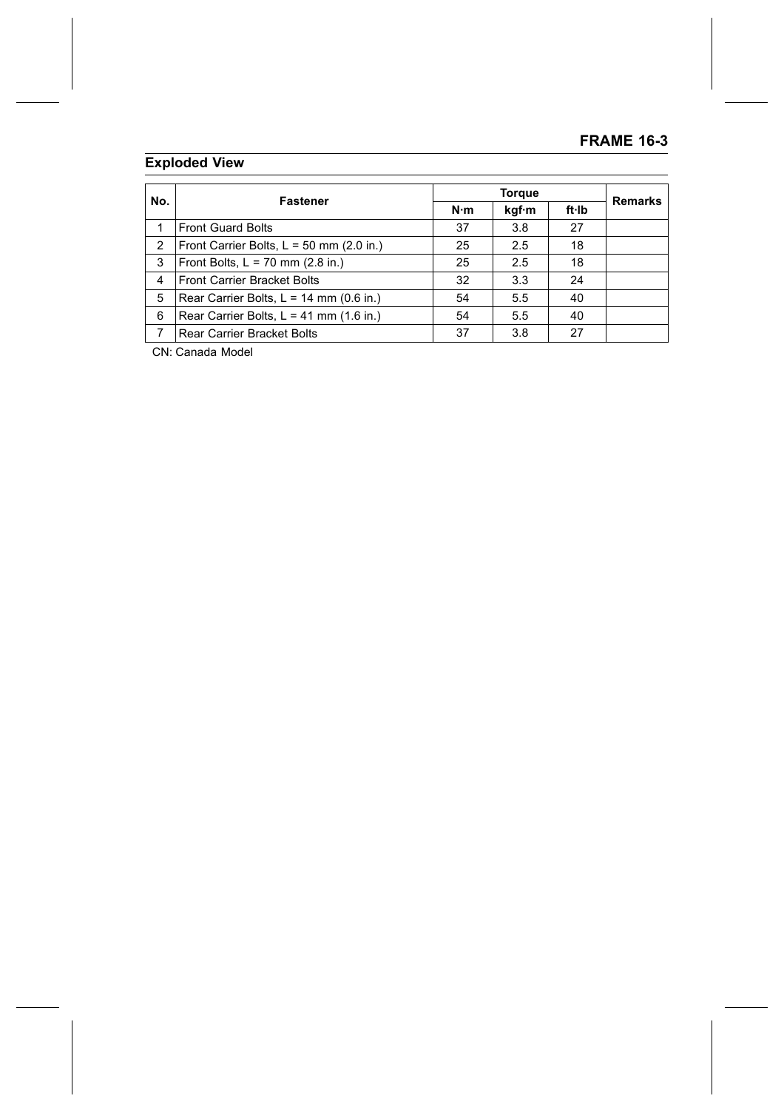# **Exploded View**

| No. | <b>Fastener</b>                            | <b>Torque</b> |       |       |                |
|-----|--------------------------------------------|---------------|-------|-------|----------------|
|     |                                            | $N \cdot m$   | kgf·m | ft·lb | <b>Remarks</b> |
|     | <b>Front Guard Bolts</b>                   | 37            | 3.8   | 27    |                |
| 2   | Front Carrier Bolts, $L = 50$ mm (2.0 in.) | 25            | 2.5   | 18    |                |
| 3   | Front Bolts, $L = 70$ mm (2.8 in.)         | 25            | 2.5   | 18    |                |
| 4   | <b>Front Carrier Bracket Bolts</b>         | 32            | 3.3   | 24    |                |
| 5   | Rear Carrier Bolts, L = 14 mm (0.6 in.)    | 54            | 5.5   | 40    |                |
| 6   | Rear Carrier Bolts, L = 41 mm (1.6 in.)    | 54            | 5.5   | 40    |                |
|     | <b>Rear Carrier Bracket Bolts</b>          | 37            | 3.8   | 27    |                |

CN: Canada Model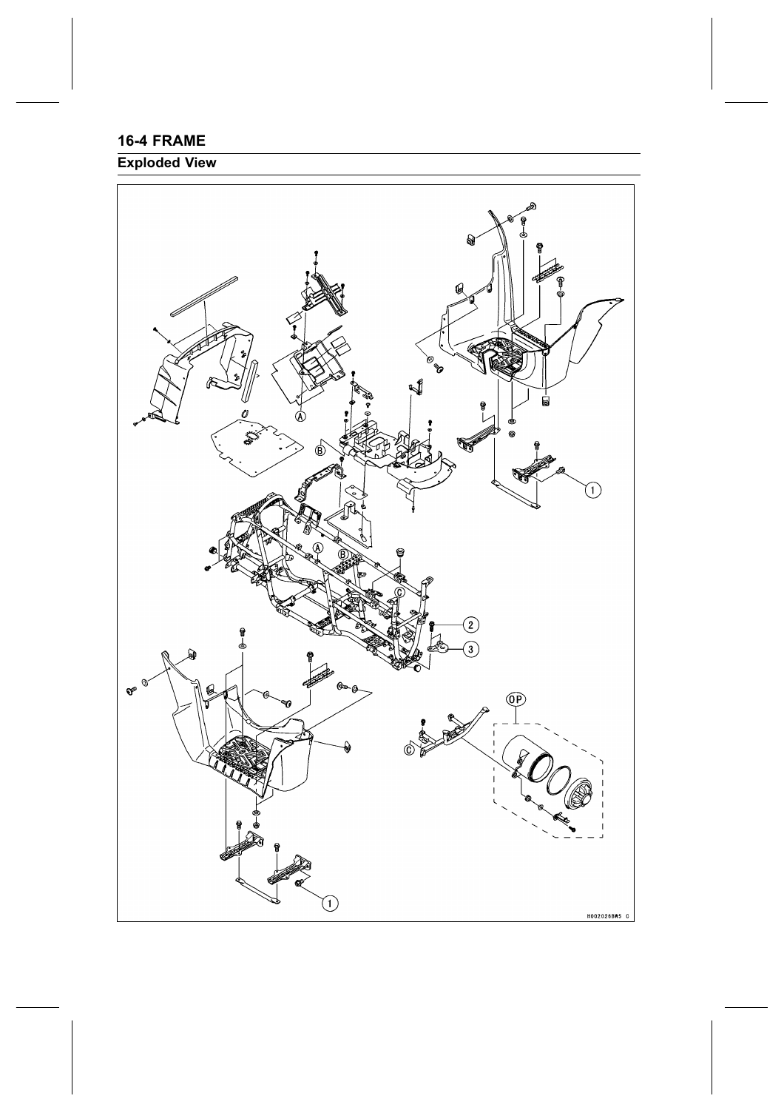# **16-4 FRAME**

# **Exploded View**

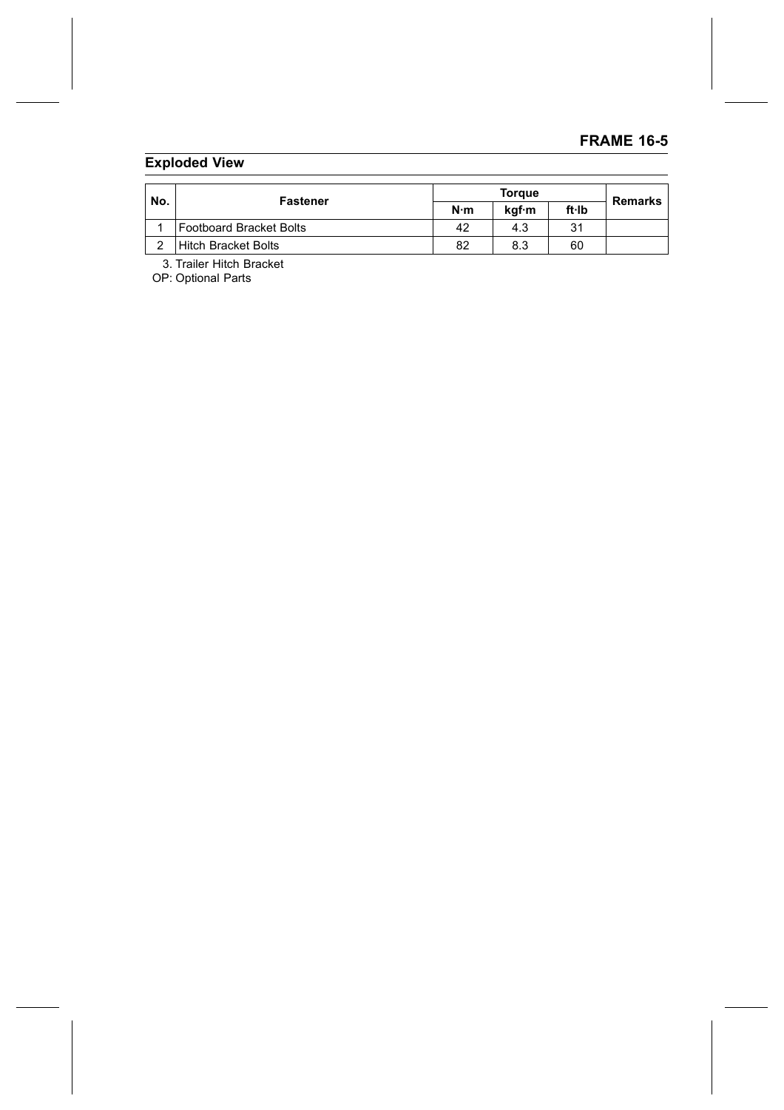# **Exploded View**

| No. | <b>Fastener</b>                | <b>Torque</b> |       |       |                |
|-----|--------------------------------|---------------|-------|-------|----------------|
|     |                                | $N \cdot m$   | kgf·m | ft·lb | <b>Remarks</b> |
|     | <b>Footboard Bracket Bolts</b> | 42            | 4.3   | 31    |                |
| ົ   | <b>Hitch Bracket Bolts</b>     | 82            | 8.3   | 60    |                |

3. Trailer Hitch Bracket

OP: Optional Parts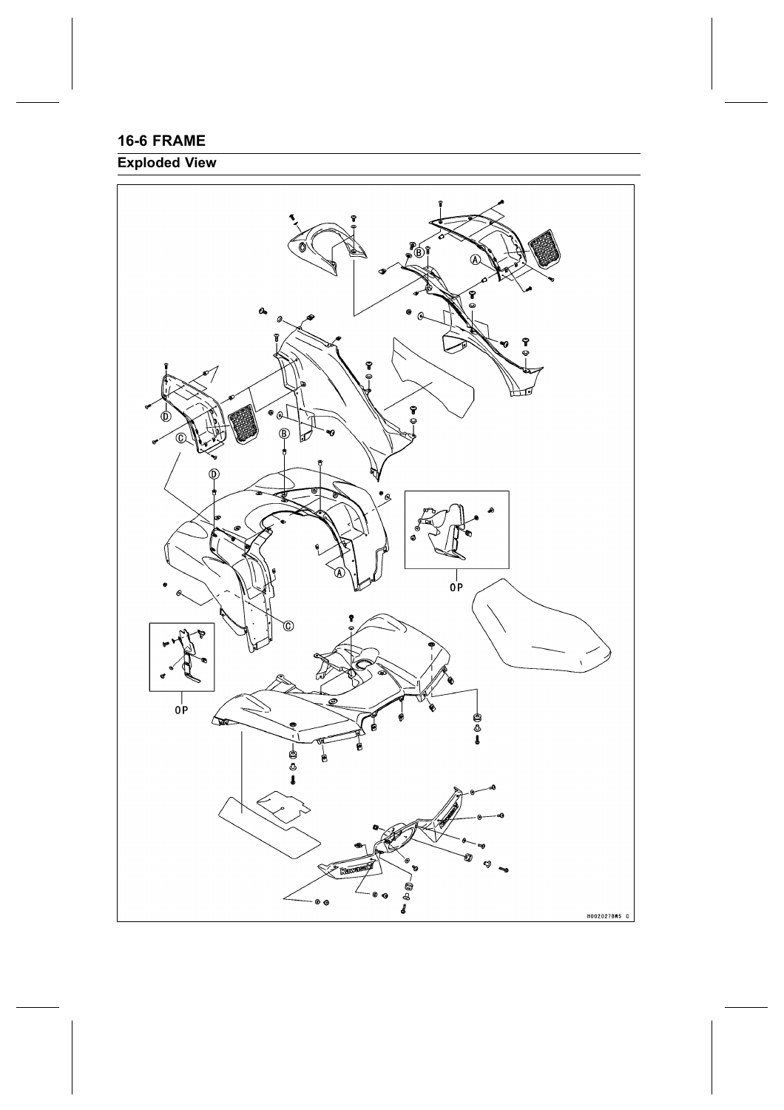# **16-6 FRAME**

# **Exploded View**

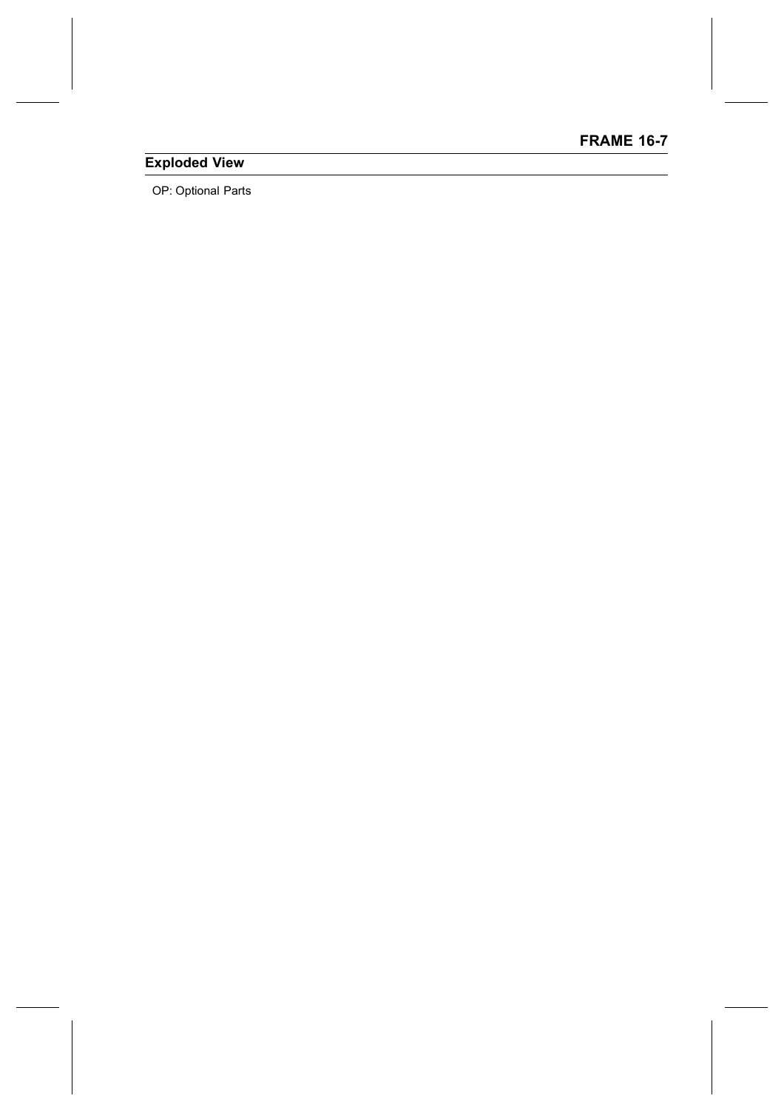# **Exploded View**

OP: Optional Parts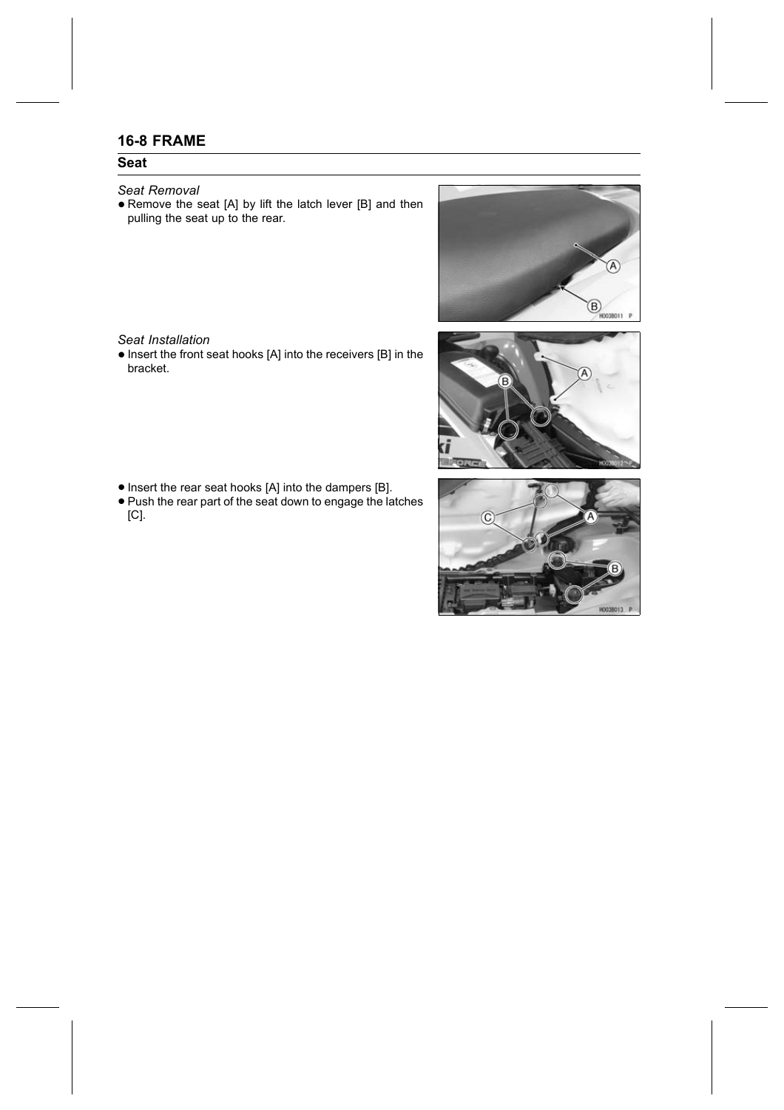## **16-8 FRAME**

#### **Seat**

*Seat Removal*

• Remove the seat [A] by lift the latch lever [B] and then pulling the seat up to the rear.



#### *Seat Installation*

•Insert the front seat hooks [A] into the receivers [B] in the bracket.



- •Insert the rear seat hooks [A] into the dampers [B].
- Push the rear part of the seat down to engage the latches [C].

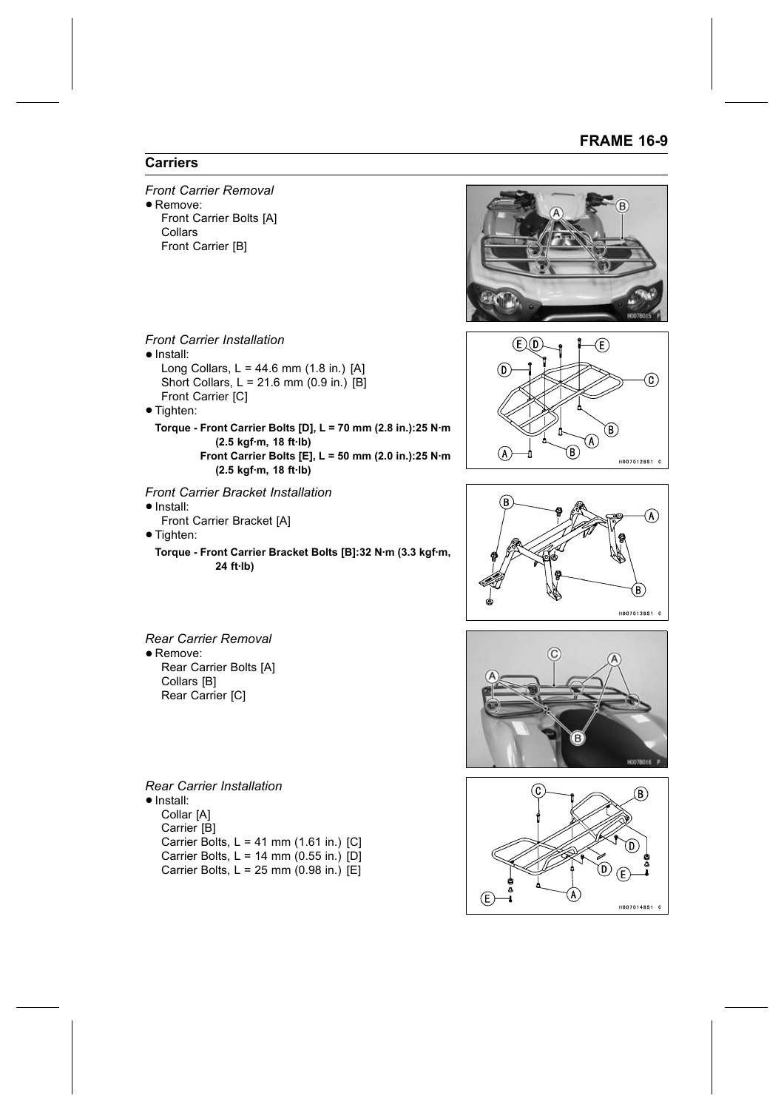## **Carriers**



• Remove: Front Carrier Bolts [A] Collars Front Carrier [B]

*Front Carrier Installation*

• Install:

Long Collars,  $L = 44.6$  mm (1.8 in.) [A] Short Collars, L = 21.6 mm (0.9 in.) [B] Front Carrier [C]

• Tighten:

**Torque - Front Carrier Bolts [D], L = 70 mm (2.8 in.):25 N·m (2.5 kgf·m, 18 ft·lb) Front Carrier Bolts [E], L = 50 mm (2.0 in.):25 N·m**

**(2.5 kgf·m, 18 ft·lb)**

#### *Front Carrier Bracket Installation*

•Install:

Front Carrier Bracket [A]

- Tighten:
	- **Torque Front Carrier Bracket Bolts [B]:32 N·m (3.3 kgf·m, 24 ft·lb)**













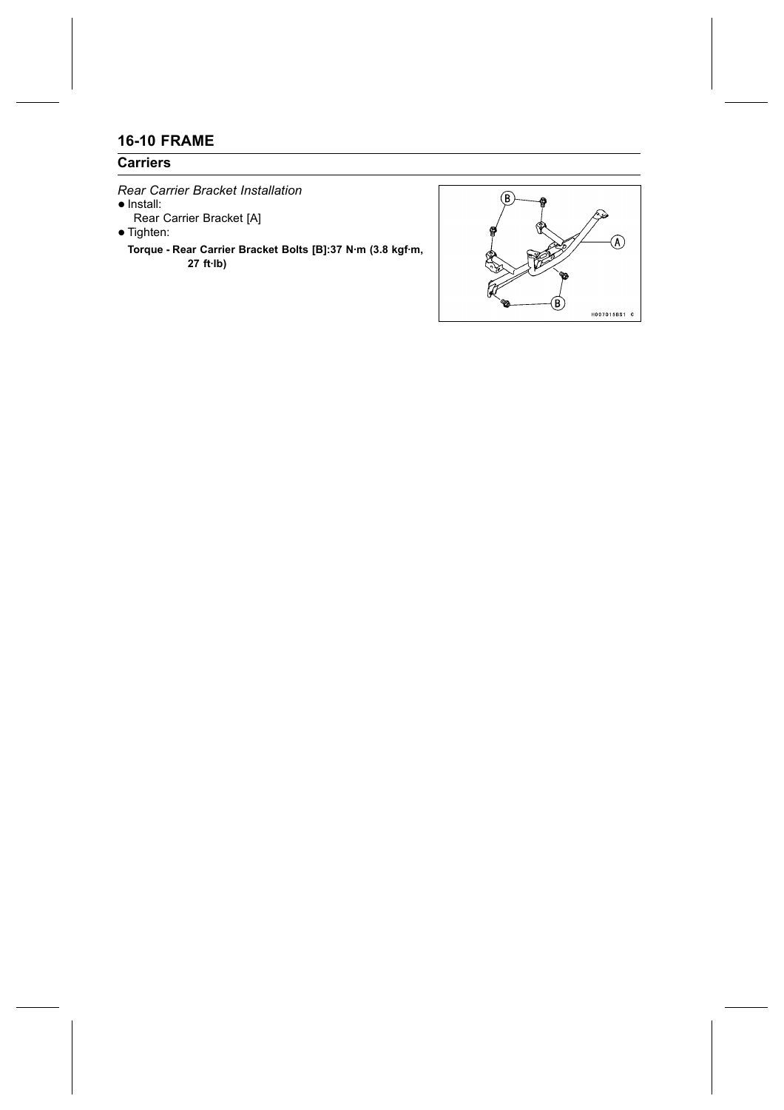# **Carriers**

- *Rear Carrier Bracket Installation*
- •Install:

Rear Carrier Bracket [A]

- Tighten:
	- **Torque Rear Carrier Bracket Bolts [B]:37 N·m (3.8 kgf·m, 27 ft·lb)**

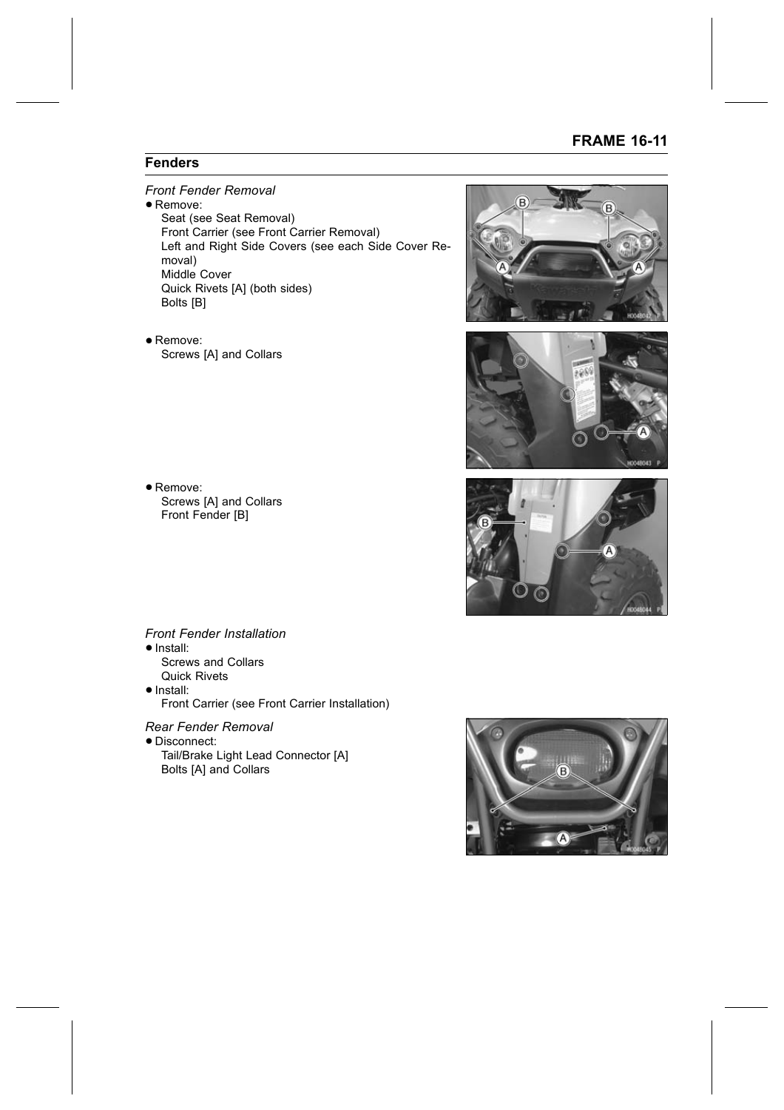## **Fenders**

#### *Front Fender Removal*

• Remove: Seat (see Seat Removal) Front Carrier (see Front Carrier Removal) Left and Right Side Covers (see each Side Cover Removal) Middle Cover Quick Rivets [A] (both sides) Bolts [B]

• Remove: Screws [A] and Collars

• Remove: Screws [A] and Collars Front Fender [B]

- *Front Fender Installation* • Install:
	- Screws and Collars
	- Quick Rivets
- •Install: Front Carrier (see Front Carrier Installation)

#### *Rear Fender Removal*

- Disconnect:
	- Tail/Brake Light Lead Connector [A] Bolts [A] and Collars







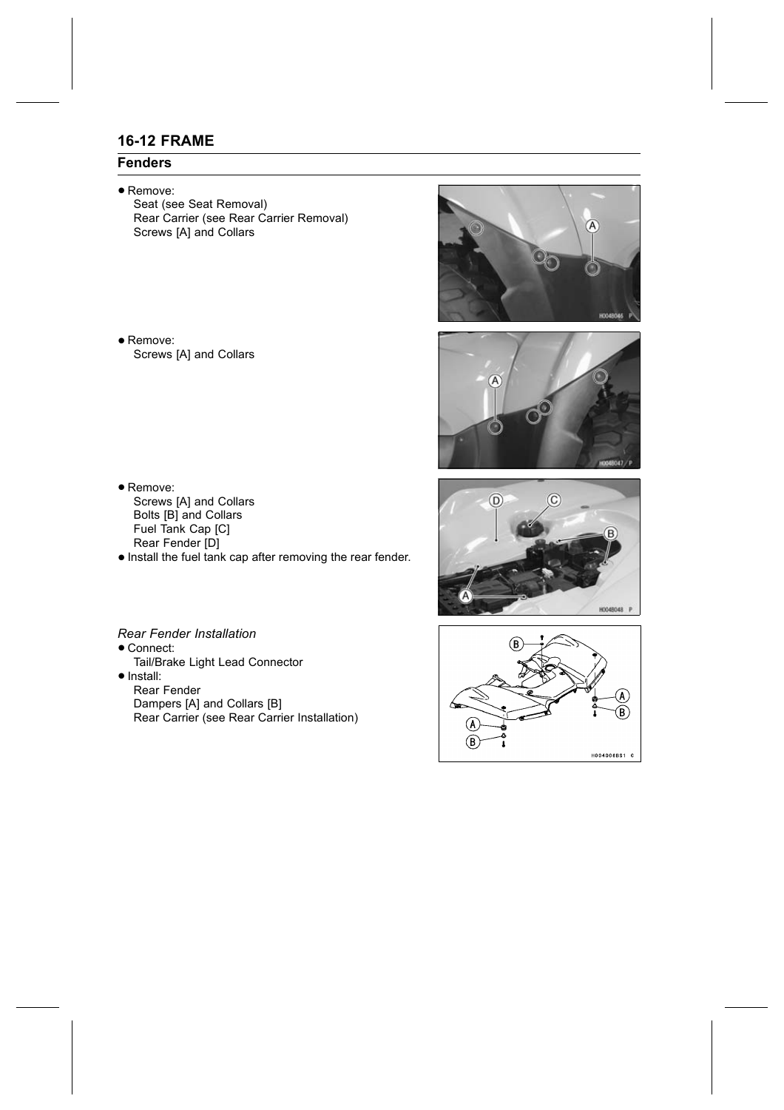## **16-12 FRAME**

## **Fenders**

• Remove: Seat (see Seat Removal) Rear Carrier (see Rear Carrier Removal) Screws [A] and Collars

• Remove: Screws [A] and Collars









- Remove:
	- Screws [A] and Collars Bolts [B] and Collars Fuel Tank Cap [C] Rear Fender [D]
- Install the fuel tank cap after removing the rear fender.

*Rear Fender Installation* • Connect: Tail/Brake Light Lead Connector • Install:

Rear Fender Dampers [A] and Collars [B] Rear Carrier (see Rear Carrier Installation)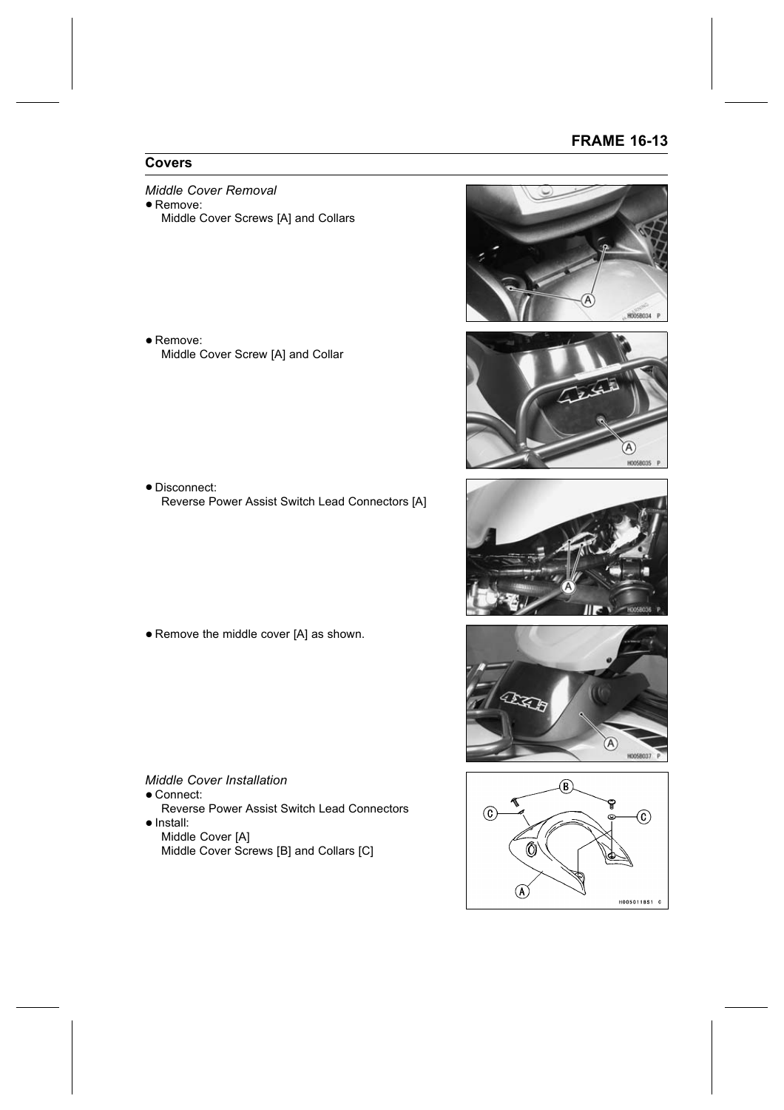#### **Covers**

*Middle Cover Removal* • Remove: Middle Cover Screws [A] and Collars

• Remove: Middle Cover Screw [A] and Collar

• Disconnect: Reverse Power Assist Switch Lead Connectors [A]

• Remove the middle cover [A] as shown.

#### *Middle Cover Installation*

- Connect:
- Reverse Power Assist Switch Lead Connectors •Install:
	- Middle Cover [A]
		- Middle Cover Screws [B] and Collars [C]









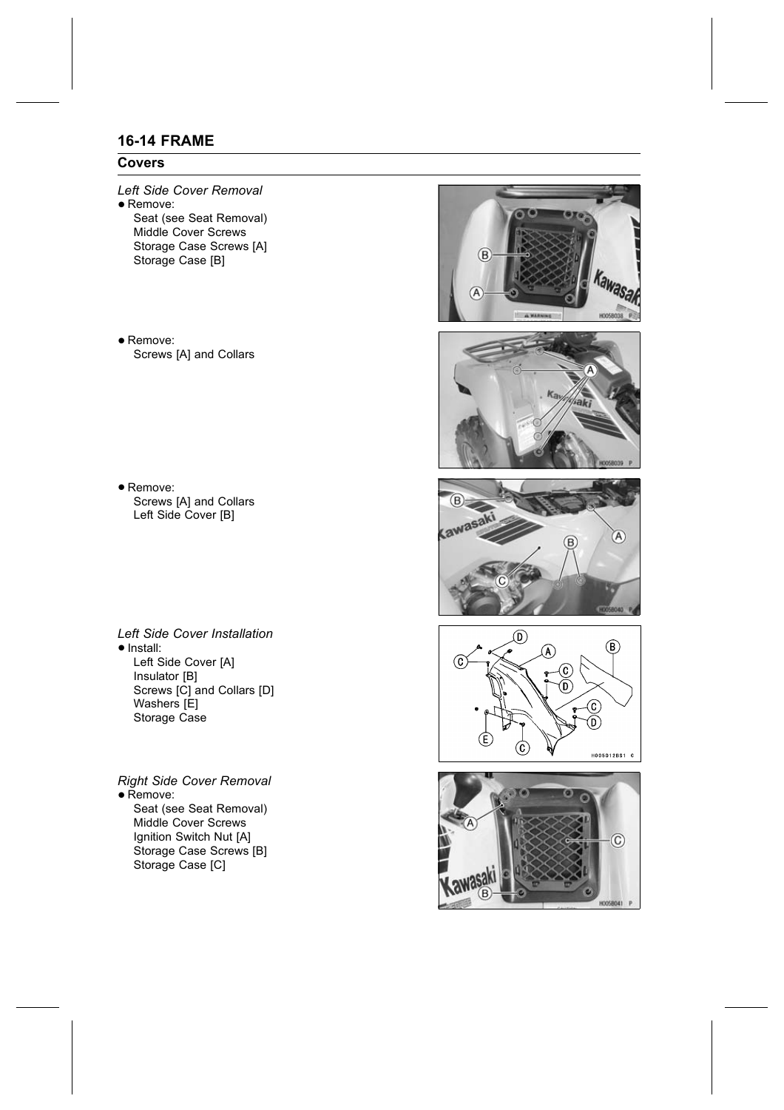## **Covers**

- *Left Side Cover Removal* • Remove: Seat (see Seat Removal) Middle Cover Screws Storage Case Screws [A] Storage Case [B]
- Remove: Screws [A] and Collars

• Remove: Screws [A] and Collars Left Side Cover [B]

- *Left Side Cover Installation* •Install: Left Side Cover [A] Insulator [B] Screws [C] and Collars [D] Washers [E] Storage Case
- *Right Side Cover Removal* • Remove: Seat (see Seat Removal) Middle Cover Screws Ignition Switch Nut [A] Storage Case Screws [B] Storage Case [C]

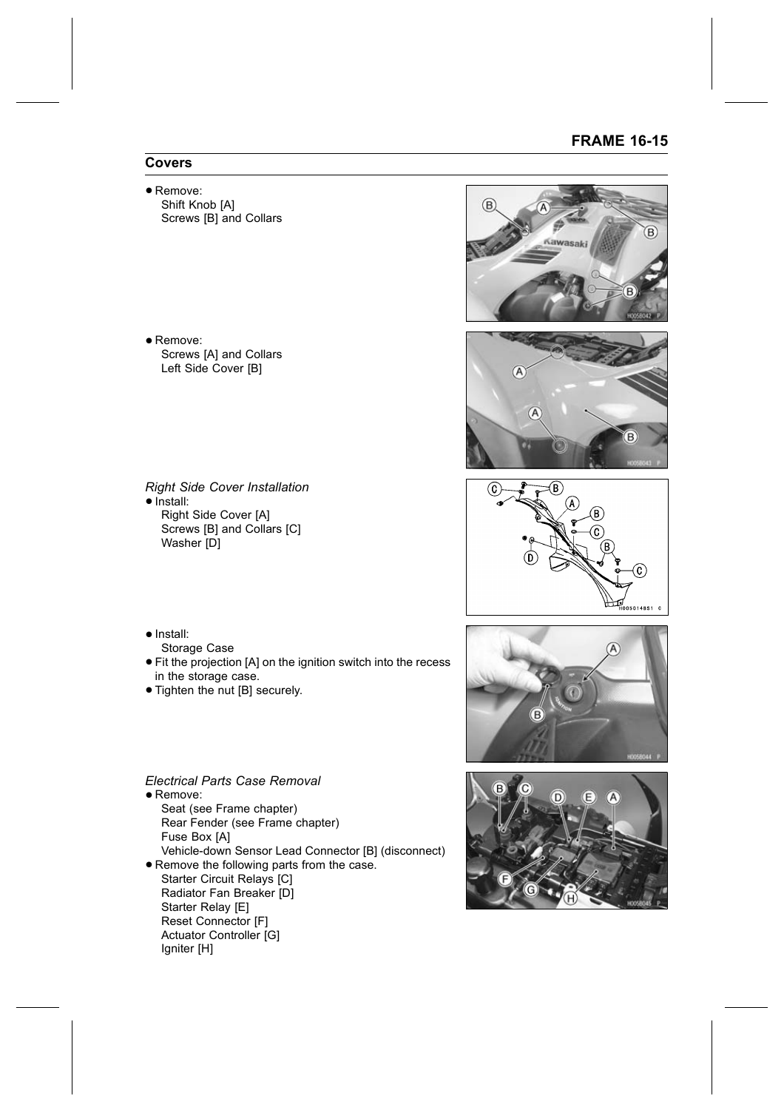## **Covers**

• Remove: Shift Knob [A] Screws [B] and Collars

• Remove: Screws [A] and Collars Left Side Cover [B]

*Right Side Cover Installation* •Install: Right Side Cover [A] Screws [B] and Collars [C] Washer [D]

- Install:
- Storage Case
- Fit the projection [A] on the ignition switch into the recess in the storage case.
- Tighten the nut [B] securely.

## *Electrical Parts Case Removal*

- Remove:
- Seat (see Frame chapter) Rear Fender (see Frame chapter)
- Fuse Box [A]
- Vehicle-down Sensor Lead Connector [B] (disconnect)
- Remove the following parts from the case. Starter Circuit Relays [C] Radiator Fan Breaker [D] Starter Relay [E] Reset Connector [F] Actuator Controller [G] Igniter [H]









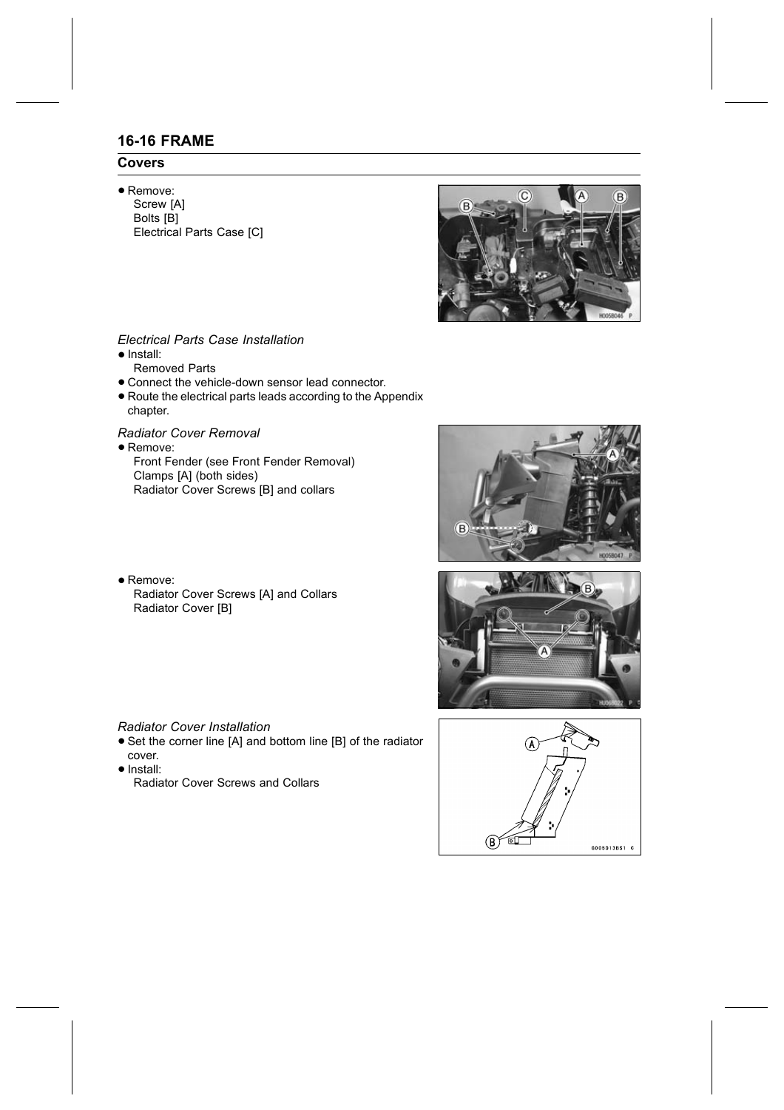## **16-16 FRAME**

#### **Covers**

• Remove:

Screw [A] Bolts [B] Electrical Parts Case [C]



#### *Electrical Parts Case Installation*

• Install:

Removed Parts

- Connect the vehicle-down sensor lead connector.
- Route the electrical parts leads according to the Appendix chapter.

#### *Radiator Cover Removal*

- Remove:
	- Front Fender (see Front Fender Removal) Clamps [A] (both sides) Radiator Cover Screws [B] and collars
- Remove:

Radiator Cover Screws [A] and Collars Radiator Cover [B]

#### *Radiator Cover Installation*

- Set the corner line [A] and bottom line [B] of the radiator cover.
- Install: Radiator Cover Screws and Collars





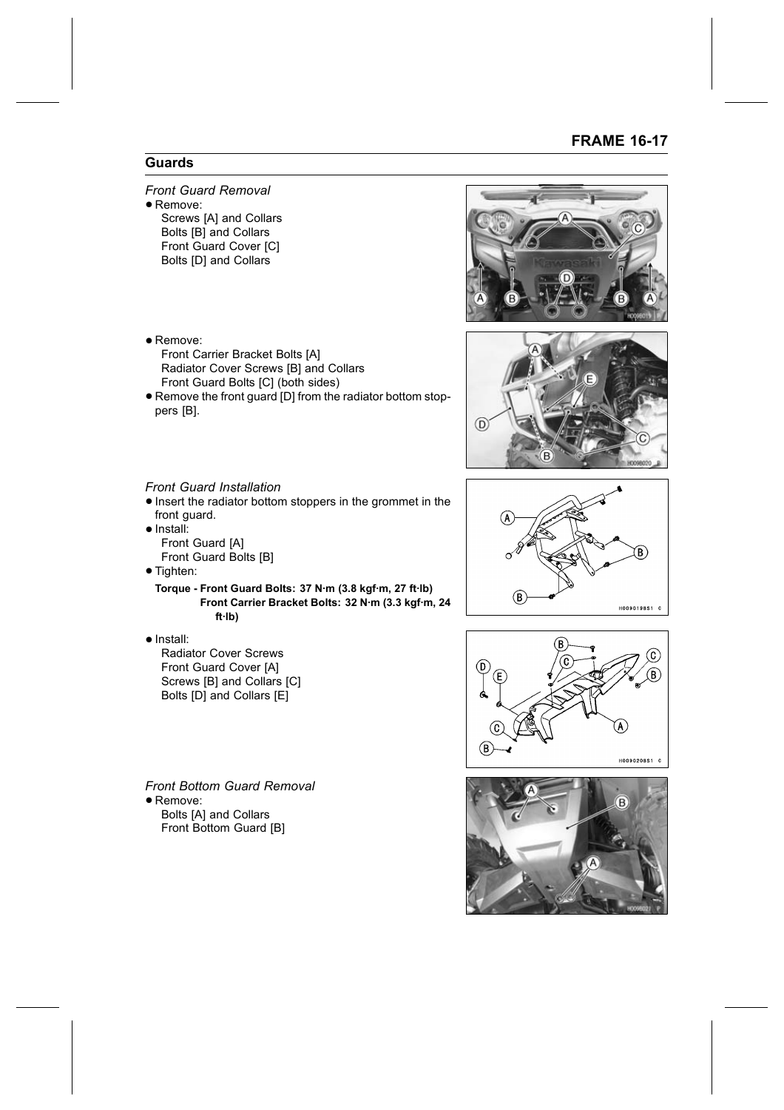## **Guards**

#### *Front Guard Removal*

• Remove:

- Screws [A] and Collars Bolts [B] and Collars Front Guard Cover [C] Bolts [D] and Collars
- Remove:
	- Front Carrier Bracket Bolts [A] Radiator Cover Screws [B] and Collars Front Guard Bolts [C] (both sides)
- Remove the front guard [D] from the radiator bottom stoppers [B].





#### *Front Guard Installation*

- •Insert the radiator bottom stoppers in the grommet in the front guard.
- •Install: Front Guard [A] Front Guard Bolts [B]
- Tighten:
	- **Torque Front Guard Bolts: 37 N·m (3.8 kgf·m, 27 ft·lb) Front Carrier Bracket Bolts: 32 N·m (3.3 kgf·m, 24 ft·lb)**
- •Install:

Radiator Cover Screws Front Guard Cover [A] Screws [B] and Collars [C] Bolts [D] and Collars [E]

*Front Bottom Guard Removal* • Remove: Bolts [A] and Collars Front Bottom Guard [B]





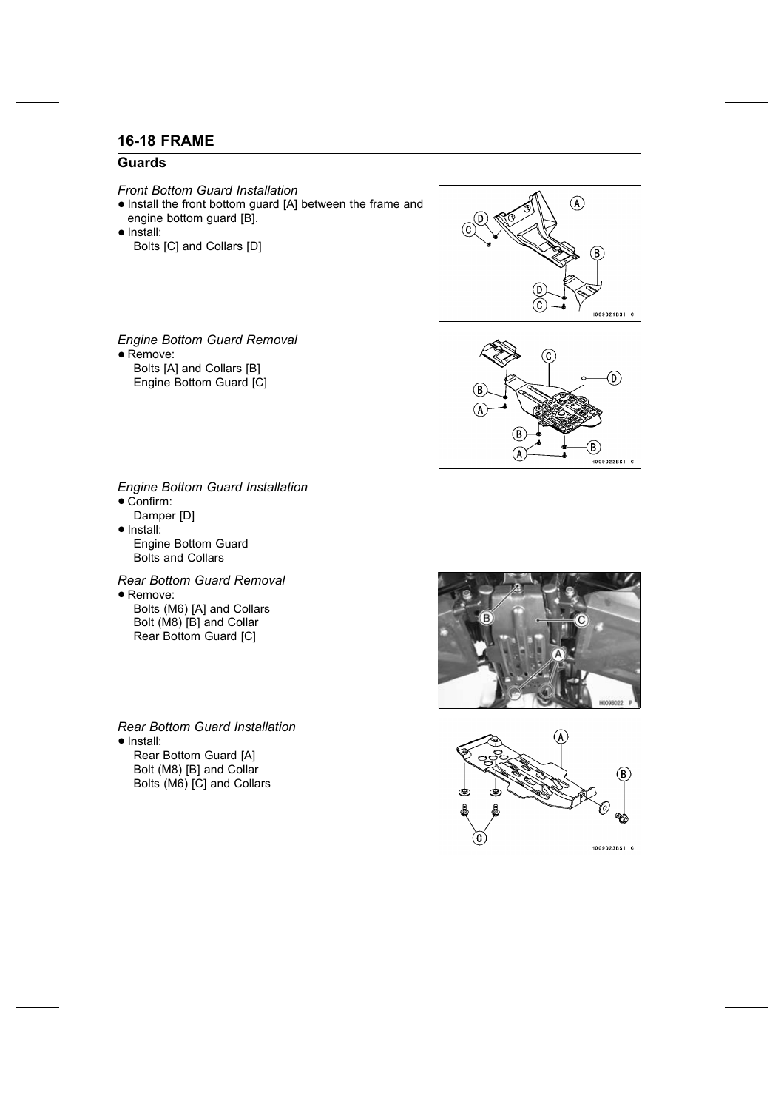## **16-18 FRAME**

## **Guards**

#### *Front Bottom Guard Installation*

- •Install the front bottom guard [A] between the frame and engine bottom guard [B].
- •Install:
	- Bolts [C] and Collars [D]





Engine Bottom Guard [C]



## *Engine Bottom Guard Installation*

- Confirm:
- Damper [D] •Install: Engine Bottom Guard
	- Bolts and Collars

#### *Rear Bottom Guard Removal*

- Remove:
	- Bolts (M6) [A] and Collars Bolt (M8) [B] and Collar Rear Bottom Guard [C]

#### *Rear Bottom Guard Installation* • Install:

Rear Bottom Guard [A] Bolt (M8) [B] and Collar Bolts (M6) [C] and Collars



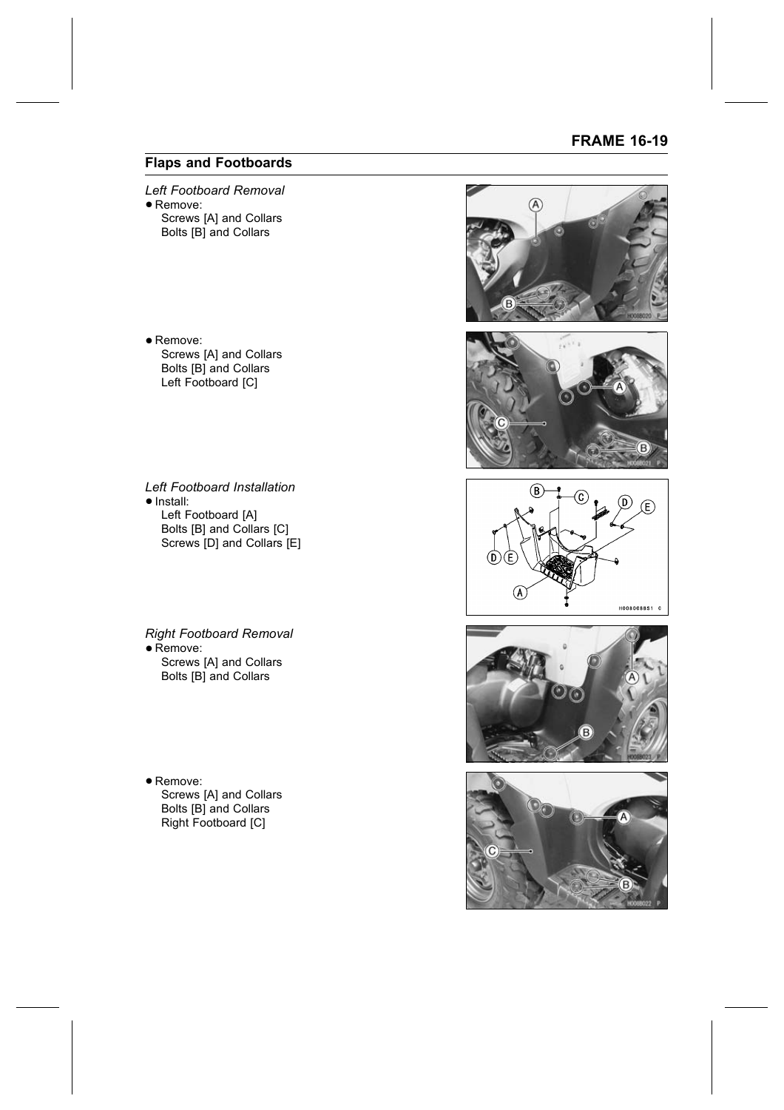## **Flaps and Footboards**

*Left Footboard Removal* • Remove: Screws [A] and Collars Bolts [B] and Collars

• Remove: Screws [A] and Collars Bolts [B] and Collars Left Footboard [C]

*Left Footboard Installation* • Install: Left Footboard [A] Bolts [B] and Collars [C] Screws [D] and Collars [E]

*Right Footboard Removal* • Remove: Screws [A] and Collars Bolts [B] and Collars

• Remove: Screws [A] and Collars Bolts [B] and Collars Right Footboard [C]









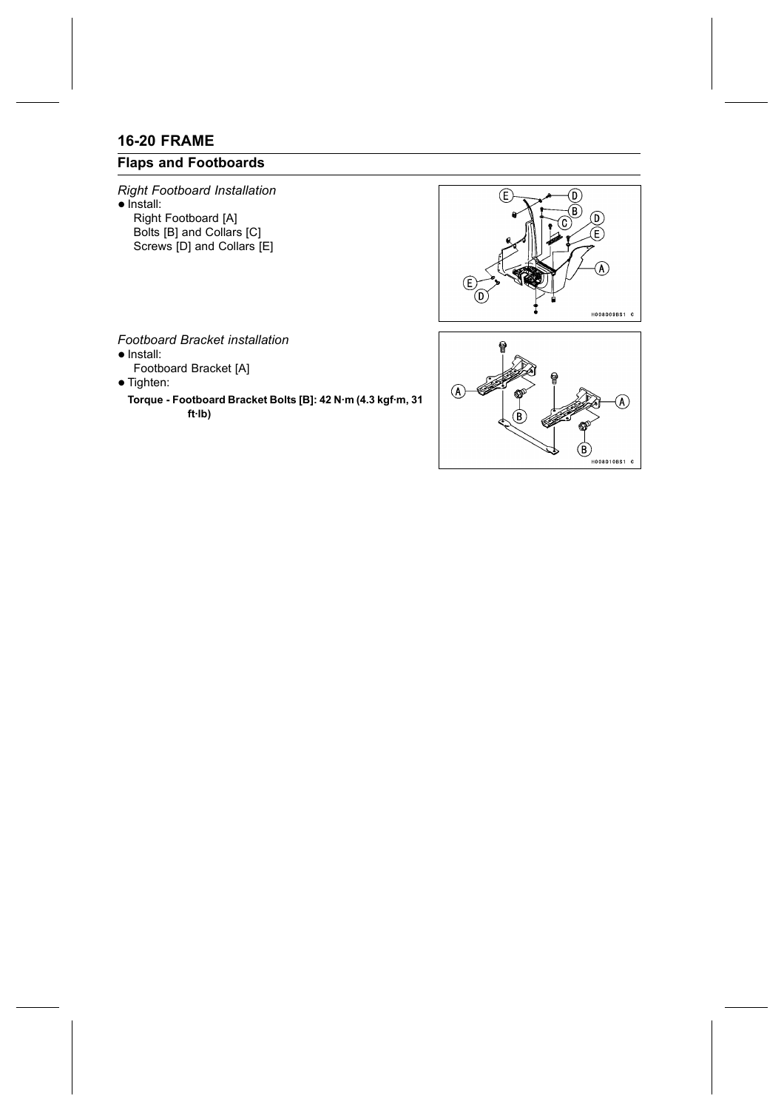## **16-20 FRAME**

## **Flaps and Footboards**

- *Right Footboard Installation* •Install:
	- Right Footboard [A] Bolts [B] and Collars [C] Screws [D] and Collars [E]



#### *Footboard Bracket installation*

- •Install:
	- Footboard Bracket [A]
- Tighten:
	- **Torque Footboard Bracket Bolts [B]: 42 N·m (4.3 kgf·m, 31 ft·lb)**